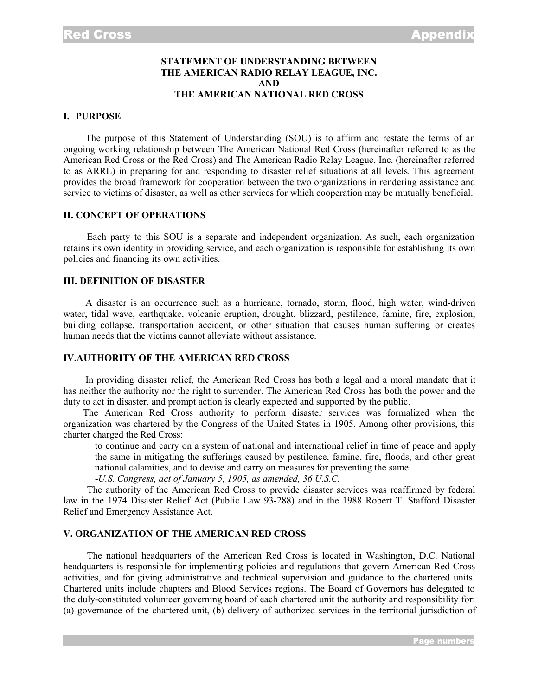#### **STATEMENT OF UNDERSTANDING BETWEEN THE AMERICAN RADIO RELAY LEAGUE, INC. AND THE AMERICAN NATIONAL RED CROSS**

#### **I. PURPOSE**

The purpose of this Statement of Understanding (SOU) is to affirm and restate the terms of an ongoing working relationship between The American National Red Cross (hereinafter referred to as the American Red Cross or the Red Cross) and The American Radio Relay League, Inc. (hereinafter referred to as ARRL) in preparing for and responding to disaster relief situations at all levels. This agreement provides the broad framework for cooperation between the two organizations in rendering assistance and service to victims of disaster, as well as other services for which cooperation may be mutually beneficial.

### **II. CONCEPT OF OPERATIONS**

Each party to this SOU is a separate and independent organization. As such, each organization retains its own identity in providing service, and each organization is responsible for establishing its own policies and financing its own activities.

#### **III. DEFINITION OF DISASTER**

A disaster is an occurrence such as a hurricane, tornado, storm, flood, high water, wind-driven water, tidal wave, earthquake, volcanic eruption, drought, blizzard, pestilence, famine, fire, explosion, building collapse, transportation accident, or other situation that causes human suffering or creates human needs that the victims cannot alleviate without assistance.

### **IV.AUTHORITY OF THE AMERICAN RED CROSS**

In providing disaster relief, the American Red Cross has both a legal and a moral mandate that it has neither the authority nor the right to surrender. The American Red Cross has both the power and the duty to act in disaster, and prompt action is clearly expected and supported by the public.

The American Red Cross authority to perform disaster services was formalized when the organization was chartered by the Congress of the United States in 1905. Among other provisions, this charter charged the Red Cross:

to continue and carry on a system of national and international relief in time of peace and apply the same in mitigating the sufferings caused by pestilence, famine, fire, floods, and other great national calamities, and to devise and carry on measures for preventing the same.

-*U.S. Congress, act of January 5, 1905, as amended, 36 U.S.C.*

The authority of the American Red Cross to provide disaster services was reaffirmed by federal law in the 1974 Disaster Relief Act (Public Law 93-288) and in the 1988 Robert T. Stafford Disaster Relief and Emergency Assistance Act.

## **V. ORGANIZATION OF THE AMERICAN RED CROSS**

The national headquarters of the American Red Cross is located in Washington, D.C. National headquarters is responsible for implementing policies and regulations that govern American Red Cross activities, and for giving administrative and technical supervision and guidance to the chartered units. Chartered units include chapters and Blood Services regions. The Board of Governors has delegated to the duly-constituted volunteer governing board of each chartered unit the authority and responsibility for: (a) governance of the chartered unit, (b) delivery of authorized services in the territorial jurisdiction of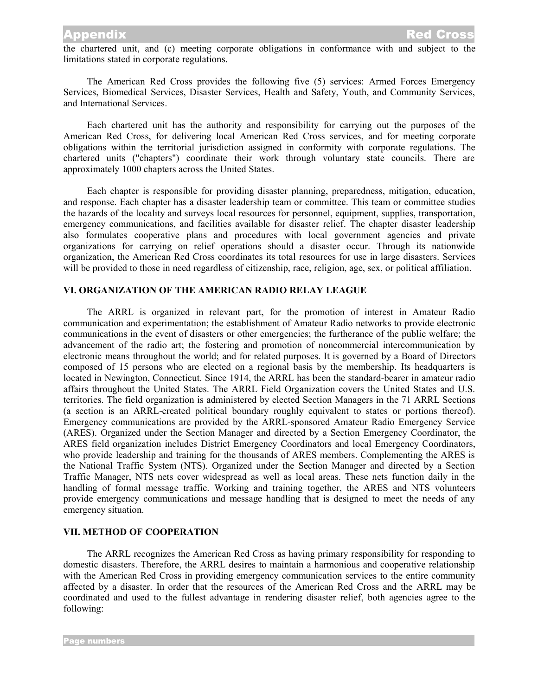# **Appendix**

the chartered unit, and (c) meeting corporate obligations in conformance with and subject to the limitations stated in corporate regulations.

The American Red Cross provides the following five (5) services: Armed Forces Emergency Services, Biomedical Services, Disaster Services, Health and Safety, Youth, and Community Services, and International Services.

Each chartered unit has the authority and responsibility for carrying out the purposes of the American Red Cross, for delivering local American Red Cross services, and for meeting corporate obligations within the territorial jurisdiction assigned in conformity with corporate regulations. The chartered units ("chapters") coordinate their work through voluntary state councils. There are approximately 1000 chapters across the United States.

Each chapter is responsible for providing disaster planning, preparedness, mitigation, education, and response. Each chapter has a disaster leadership team or committee. This team or committee studies the hazards of the locality and surveys local resources for personnel, equipment, supplies, transportation, emergency communications, and facilities available for disaster relief. The chapter disaster leadership also formulates cooperative plans and procedures with local government agencies and private organizations for carrying on relief operations should a disaster occur. Through its nationwide organization, the American Red Cross coordinates its total resources for use in large disasters. Services will be provided to those in need regardless of citizenship, race, religion, age, sex, or political affiliation.

## **VI. ORGANIZATION OF THE AMERICAN RADIO RELAY LEAGUE**

The ARRL is organized in relevant part, for the promotion of interest in Amateur Radio communication and experimentation; the establishment of Amateur Radio networks to provide electronic communications in the event of disasters or other emergencies; the furtherance of the public welfare; the advancement of the radio art; the fostering and promotion of noncommercial intercommunication by electronic means throughout the world; and for related purposes. It is governed by a Board of Directors composed of 15 persons who are elected on a regional basis by the membership. Its headquarters is located in Newington, Connecticut. Since 1914, the ARRL has been the standard-bearer in amateur radio affairs throughout the United States. The ARRL Field Organization covers the United States and U.S. territories. The field organization is administered by elected Section Managers in the 71 ARRL Sections (a section is an ARRL-created political boundary roughly equivalent to states or portions thereof). Emergency communications are provided by the ARRL-sponsored Amateur Radio Emergency Service (ARES). Organized under the Section Manager and directed by a Section Emergency Coordinator, the ARES field organization includes District Emergency Coordinators and local Emergency Coordinators, who provide leadership and training for the thousands of ARES members. Complementing the ARES is the National Traffic System (NTS). Organized under the Section Manager and directed by a Section Traffic Manager, NTS nets cover widespread as well as local areas. These nets function daily in the handling of formal message traffic. Working and training together, the ARES and NTS volunteers provide emergency communications and message handling that is designed to meet the needs of any emergency situation.

## **VII. METHOD OF COOPERATION**

The ARRL recognizes the American Red Cross as having primary responsibility for responding to domestic disasters. Therefore, the ARRL desires to maintain a harmonious and cooperative relationship with the American Red Cross in providing emergency communication services to the entire community affected by a disaster. In order that the resources of the American Red Cross and the ARRL may be coordinated and used to the fullest advantage in rendering disaster relief, both agencies agree to the following: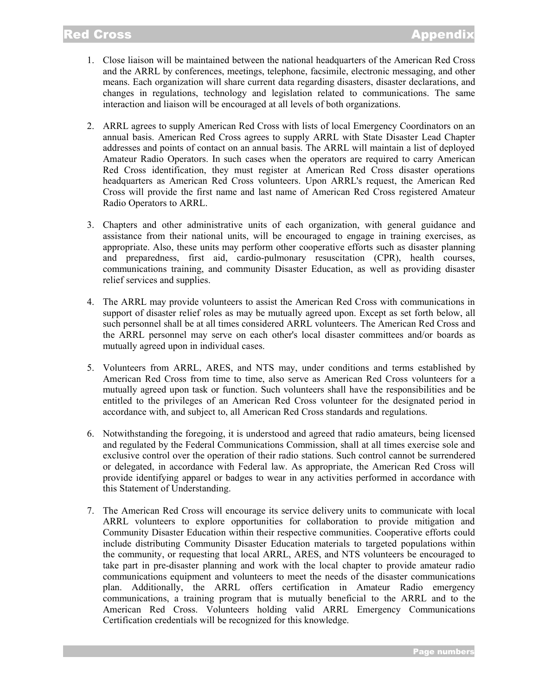- 1. Close liaison will be maintained between the national headquarters of the American Red Cross and the ARRL by conferences, meetings, telephone, facsimile, electronic messaging, and other means. Each organization will share current data regarding disasters, disaster declarations, and changes in regulations, technology and legislation related to communications. The same interaction and liaison will be encouraged at all levels of both organizations.
- 2. ARRL agrees to supply American Red Cross with lists of local Emergency Coordinators on an annual basis. American Red Cross agrees to supply ARRL with State Disaster Lead Chapter addresses and points of contact on an annual basis. The ARRL will maintain a list of deployed Amateur Radio Operators. In such cases when the operators are required to carry American Red Cross identification, they must register at American Red Cross disaster operations headquarters as American Red Cross volunteers. Upon ARRL's request, the American Red Cross will provide the first name and last name of American Red Cross registered Amateur Radio Operators to ARRL.
- 3. Chapters and other administrative units of each organization, with general guidance and assistance from their national units, will be encouraged to engage in training exercises, as appropriate. Also, these units may perform other cooperative efforts such as disaster planning and preparedness, first aid, cardio-pulmonary resuscitation (CPR), health courses, communications training, and community Disaster Education, as well as providing disaster relief services and supplies.
- 4. The ARRL may provide volunteers to assist the American Red Cross with communications in support of disaster relief roles as may be mutually agreed upon. Except as set forth below, all such personnel shall be at all times considered ARRL volunteers. The American Red Cross and the ARRL personnel may serve on each other's local disaster committees and/or boards as mutually agreed upon in individual cases.
- 5. Volunteers from ARRL, ARES, and NTS may, under conditions and terms established by American Red Cross from time to time, also serve as American Red Cross volunteers for a mutually agreed upon task or function. Such volunteers shall have the responsibilities and be entitled to the privileges of an American Red Cross volunteer for the designated period in accordance with, and subject to, all American Red Cross standards and regulations.
- 6. Notwithstanding the foregoing, it is understood and agreed that radio amateurs, being licensed and regulated by the Federal Communications Commission, shall at all times exercise sole and exclusive control over the operation of their radio stations. Such control cannot be surrendered or delegated, in accordance with Federal law. As appropriate, the American Red Cross will provide identifying apparel or badges to wear in any activities performed in accordance with this Statement of Understanding.
- 7. The American Red Cross will encourage its service delivery units to communicate with local ARRL volunteers to explore opportunities for collaboration to provide mitigation and Community Disaster Education within their respective communities. Cooperative efforts could include distributing Community Disaster Education materials to targeted populations within the community, or requesting that local ARRL, ARES, and NTS volunteers be encouraged to take part in pre-disaster planning and work with the local chapter to provide amateur radio communications equipment and volunteers to meet the needs of the disaster communications plan. Additionally, the ARRL offers certification in Amateur Radio emergency communications, a training program that is mutually beneficial to the ARRL and to the American Red Cross. Volunteers holding valid ARRL Emergency Communications Certification credentials will be recognized for this knowledge.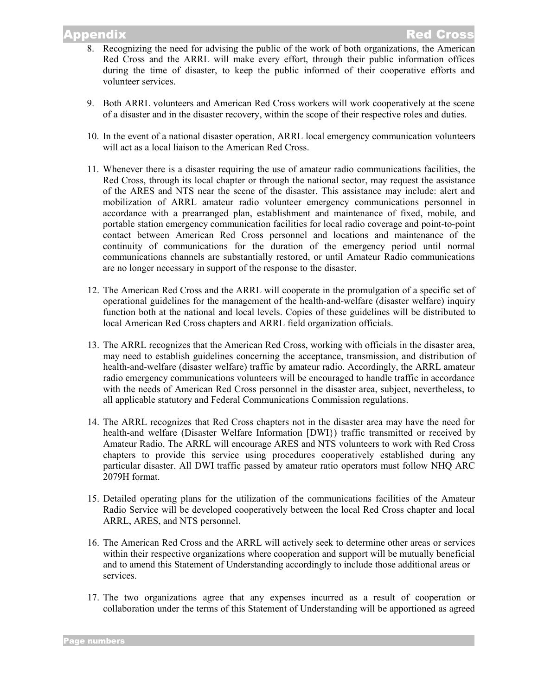# ppendix

- 8. Recognizing the need for advising the public of the work of both organizations, the American Red Cross and the ARRL will make every effort, through their public information offices during the time of disaster, to keep the public informed of their cooperative efforts and volunteer services.
- 9. Both ARRL volunteers and American Red Cross workers will work cooperatively at the scene of a disaster and in the disaster recovery, within the scope of their respective roles and duties.
- 10. In the event of a national disaster operation, ARRL local emergency communication volunteers will act as a local liaison to the American Red Cross.
- 11. Whenever there is a disaster requiring the use of amateur radio communications facilities, the Red Cross, through its local chapter or through the national sector, may request the assistance of the ARES and NTS near the scene of the disaster. This assistance may include: alert and mobilization of ARRL amateur radio volunteer emergency communications personnel in accordance with a prearranged plan, establishment and maintenance of fixed, mobile, and portable station emergency communication facilities for local radio coverage and point-to-point contact between American Red Cross personnel and locations and maintenance of the continuity of communications for the duration of the emergency period until normal communications channels are substantially restored, or until Amateur Radio communications are no longer necessary in support of the response to the disaster.
- 12. The American Red Cross and the ARRL will cooperate in the promulgation of a specific set of operational guidelines for the management of the health-and-welfare (disaster welfare) inquiry function both at the national and local levels. Copies of these guidelines will be distributed to local American Red Cross chapters and ARRL field organization officials.
- 13. The ARRL recognizes that the American Red Cross, working with officials in the disaster area, may need to establish guidelines concerning the acceptance, transmission, and distribution of health-and-welfare (disaster welfare) traffic by amateur radio. Accordingly, the ARRL amateur radio emergency communications volunteers will be encouraged to handle traffic in accordance with the needs of American Red Cross personnel in the disaster area, subject, nevertheless, to all applicable statutory and Federal Communications Commission regulations.
- 14. The ARRL recognizes that Red Cross chapters not in the disaster area may have the need for health-and welfare (Disaster Welfare Information [DWI}) traffic transmitted or received by Amateur Radio. The ARRL will encourage ARES and NTS volunteers to work with Red Cross chapters to provide this service using procedures cooperatively established during any particular disaster. All DWI traffic passed by amateur ratio operators must follow NHQ ARC 2079H format.
- 15. Detailed operating plans for the utilization of the communications facilities of the Amateur Radio Service will be developed cooperatively between the local Red Cross chapter and local ARRL, ARES, and NTS personnel.
- 16. The American Red Cross and the ARRL will actively seek to determine other areas or services within their respective organizations where cooperation and support will be mutually beneficial and to amend this Statement of Understanding accordingly to include those additional areas or services.
- 17. The two organizations agree that any expenses incurred as a result of cooperation or collaboration under the terms of this Statement of Understanding will be apportioned as agreed